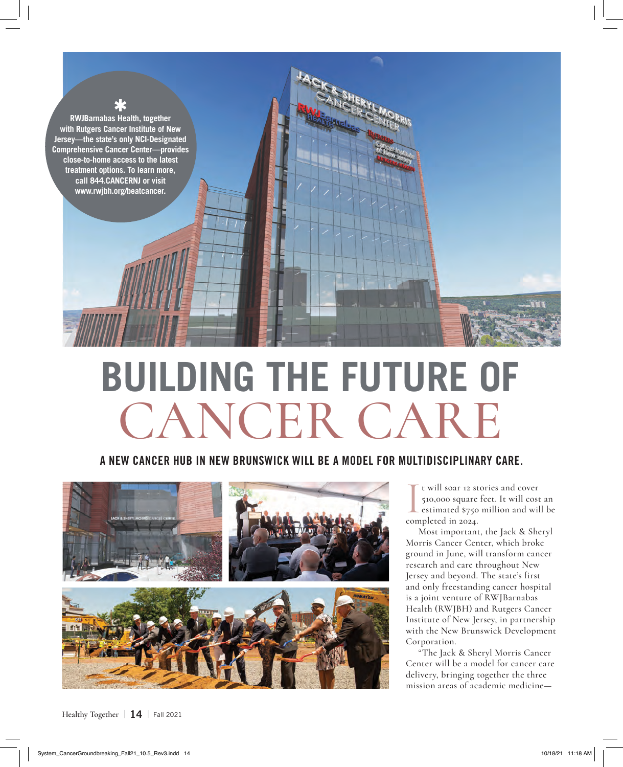

## **BUILDING THE FUTURE OF** CANCER CARE

## **A NEW CANCER HUB IN NEW BRUNSWICK WILL BE A MODEL FOR MULTIDISCIPLINARY CARE.**



 $Healthy Together$   $\parallel$  **14**  $\parallel$  **Fall 2021** 

I t will soar 12 st<br>510,000 square<br>estimated \$750<br>completed in 2024. t will soar 12 stories and cover 510,000 square feet. It will cost an estimated \$750 million and will be

Most important, the Jack & Sheryl Morris Cancer Center, which broke ground in June, will transform cancer research and care throughout New Jersey and beyond. The state's first and only freestanding cancer hospital is a joint venture of RWJBarnabas Health (RWJBH) and Rutgers Cancer Institute of New Jersey, in partnership with the New Brunswick Development Corporation.

"The Jack & Sheryl Morris Cancer Center will be a model for cancer care delivery, bringing together the three mission areas of academic medicine—